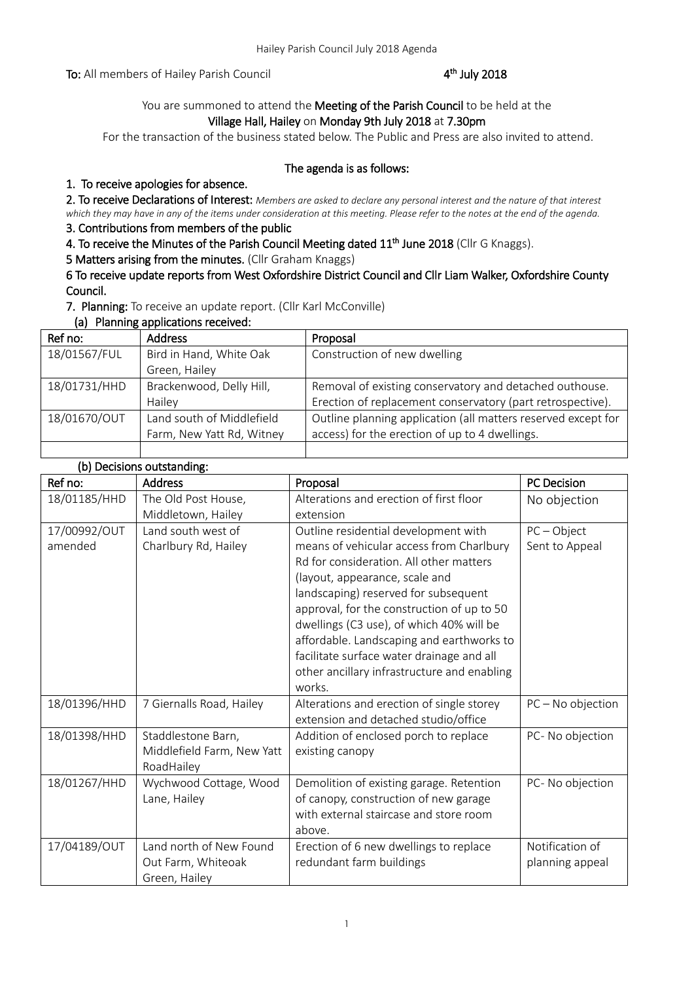To: All members of Hailey Parish Council

# <sup>th</sup> July 2018

# You are summoned to attend the Meeting of the Parish Council to be held at the Village Hall, Hailey on Monday 9th July 2018 at 7.30pm

For the transaction of the business stated below. The Public and Press are also invited to attend.

### The agenda is as follows:

# 1. To receive apologies for absence.

2. To receive Declarations of Interest: *Members are asked to declare any personal interest and the nature of that interest which they may have in any of the items under consideration at this meeting. Please refer to the notes at the end of the agenda.*

# 3. Contributions from members of the public

4. To receive the Minutes of the Parish Council Meeting dated 11<sup>th</sup> June 2018 (Cllr G Knaggs).

5 Matters arising from the minutes. (Cllr Graham Knaggs)

6 To receive update reports from West Oxfordshire District Council and Cllr Liam Walker, Oxfordshire County Council.

7. Planning: To receive an update report. (Cllr Karl McConville)

(a) Planning applications received:

| Ref no:      | <b>Address</b>            | Proposal                                                      |
|--------------|---------------------------|---------------------------------------------------------------|
| 18/01567/FUL | Bird in Hand, White Oak   | Construction of new dwelling                                  |
|              | Green, Hailey             |                                                               |
| 18/01731/HHD | Brackenwood, Delly Hill,  | Removal of existing conservatory and detached outhouse.       |
|              | Hailey                    | Erection of replacement conservatory (part retrospective).    |
| 18/01670/OUT | Land south of Middlefield | Outline planning application (all matters reserved except for |
|              | Farm, New Yatt Rd, Witney | access) for the erection of up to 4 dwellings.                |
|              |                           |                                                               |

# (b) Decisions outstanding:

| (D) Decisions outstanding. |                            |                                             |                     |
|----------------------------|----------------------------|---------------------------------------------|---------------------|
| Ref no:                    | <b>Address</b>             | Proposal                                    | <b>PC Decision</b>  |
| 18/01185/HHD               | The Old Post House,        | Alterations and erection of first floor     | No objection        |
|                            | Middletown, Hailey         | extension                                   |                     |
| 17/00992/OUT               | Land south west of         | Outline residential development with        | $PC - Object$       |
| amended                    | Charlbury Rd, Hailey       | means of vehicular access from Charlbury    | Sent to Appeal      |
|                            |                            | Rd for consideration. All other matters     |                     |
|                            |                            | (layout, appearance, scale and              |                     |
|                            |                            | landscaping) reserved for subsequent        |                     |
|                            |                            | approval, for the construction of up to 50  |                     |
|                            |                            | dwellings (C3 use), of which 40% will be    |                     |
|                            |                            | affordable. Landscaping and earthworks to   |                     |
|                            |                            | facilitate surface water drainage and all   |                     |
|                            |                            | other ancillary infrastructure and enabling |                     |
|                            |                            | works.                                      |                     |
| 18/01396/HHD               | 7 Giernalls Road, Hailey   | Alterations and erection of single storey   | $PC - No$ objection |
|                            |                            | extension and detached studio/office        |                     |
| 18/01398/HHD               | Staddlestone Barn,         | Addition of enclosed porch to replace       | PC- No objection    |
|                            | Middlefield Farm, New Yatt | existing canopy                             |                     |
|                            | RoadHailey                 |                                             |                     |
| 18/01267/HHD               | Wychwood Cottage, Wood     | Demolition of existing garage. Retention    | PC- No objection    |
|                            | Lane, Hailey               | of canopy, construction of new garage       |                     |
|                            |                            | with external staircase and store room      |                     |
|                            |                            | above.                                      |                     |
| 17/04189/OUT               | Land north of New Found    | Erection of 6 new dwellings to replace      | Notification of     |
|                            | Out Farm, Whiteoak         | redundant farm buildings                    | planning appeal     |
|                            | Green, Hailey              |                                             |                     |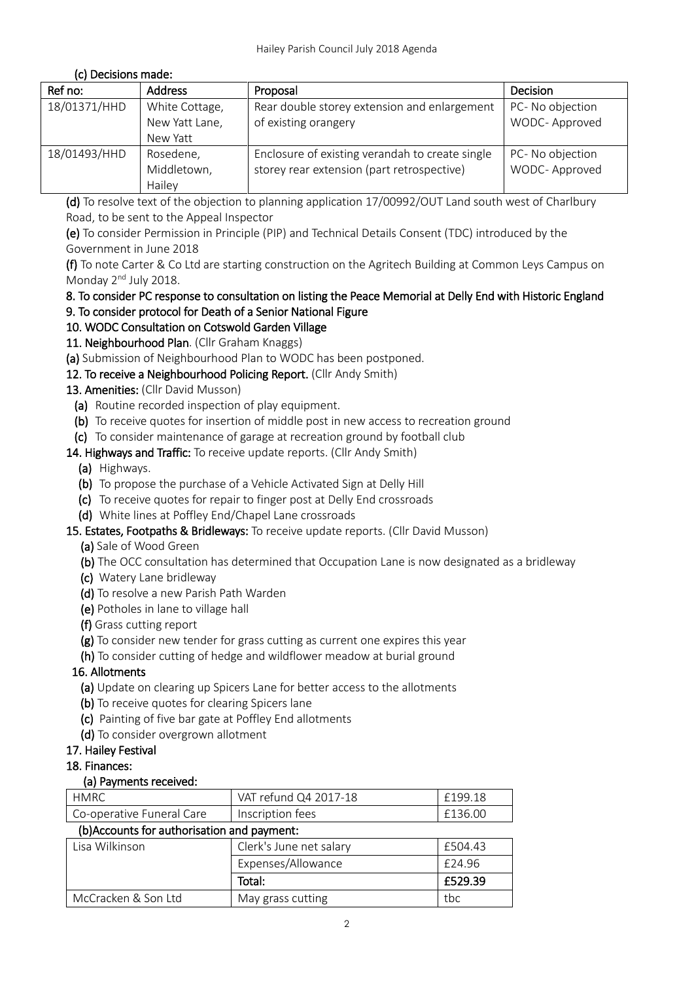# (c) Decisions made:

| Ref no:      | <b>Address</b>                               | Proposal                                                                                      | Decision                          |
|--------------|----------------------------------------------|-----------------------------------------------------------------------------------------------|-----------------------------------|
| 18/01371/HHD | White Cottage,<br>New Yatt Lane,<br>New Yatt | Rear double storey extension and enlargement<br>of existing orangery                          | PC- No objection<br>WODC-Approved |
| 18/01493/HHD | Rosedene,<br>Middletown,<br>Hailey           | Enclosure of existing verandah to create single<br>storey rear extension (part retrospective) | PC- No objection<br>WODC-Approved |

(d) To resolve text of the objection to planning application 17/00992/OUT Land south west of Charlbury Road, to be sent to the Appeal Inspector

(e) To consider Permission in Principle (PIP) and Technical Details Consent (TDC) introduced by the Government in June 2018

(f) To note Carter & Co Ltd are starting construction on the Agritech Building at Common Leys Campus on Monday 2<sup>nd</sup> July 2018.

# 8. To consider PC response to consultation on listing the Peace Memorial at Delly End with Historic England 9. To consider protocol for Death of a Senior National Figure

- 10. WODC Consultation on Cotswold Garden Village
- 11. Neighbourhood Plan. (Cllr Graham Knaggs)
- (a) Submission of Neighbourhood Plan to WODC has been postponed.
- 12. To receive a Neighbourhood Policing Report. (Cllr Andy Smith)

# 13. Amenities: (Cllr David Musson)

- (a) Routine recorded inspection of play equipment.
- (b) To receive quotes for insertion of middle post in new access to recreation ground
- (c) To consider maintenance of garage at recreation ground by football club

# 14. Highways and Traffic: To receive update reports. (Cllr Andy Smith)

- (a) Highways.
- (b) To propose the purchase of a Vehicle Activated Sign at Delly Hill
- (c) To receive quotes for repair to finger post at Delly End crossroads
- (d) White lines at Poffley End/Chapel Lane crossroads

### 15. Estates, Footpaths & Bridleways: To receive update reports. (Cllr David Musson)

- (a) Sale of Wood Green
- (b) The OCC consultation has determined that Occupation Lane is now designated as a bridleway
- (c) Watery Lane bridleway
- (d) To resolve a new Parish Path Warden
- (e) Potholes in lane to village hall
- (f) Grass cutting report
- (g) To consider new tender for grass cutting as current one expires this year
- (h) To consider cutting of hedge and wildflower meadow at burial ground

# 16. Allotments

- (a) Update on clearing up Spicers Lane for better access to the allotments
- (b) To receive quotes for clearing Spicers lane
- (c) Painting of five bar gate at Poffley End allotments
- (d) To consider overgrown allotment

# 17. Hailey Festival

### 18. Finances:

### (a) Payments received:

| <b>HMRC</b>                                 | VAT refund Q4 2017-18   | £199.18 |
|---------------------------------------------|-------------------------|---------|
| Co-operative Funeral Care                   | Inscription fees        | £136.00 |
| (b) Accounts for authorisation and payment: |                         |         |
| Lisa Wilkinson                              | Clerk's June net salary | £504.43 |
|                                             | Expenses/Allowance      | £24.96  |
|                                             | Total:                  | £529.39 |
| McCracken & Son Ltd                         | May grass cutting       | tbc     |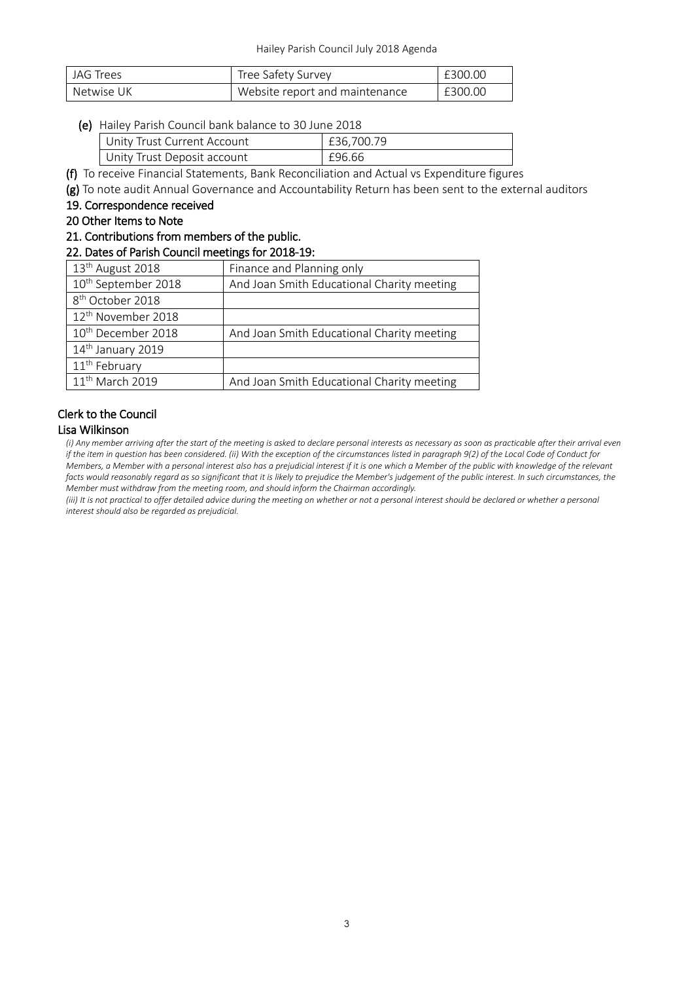| JAG Trees  | Tree Safety Survey             | £300.00 |
|------------|--------------------------------|---------|
| Netwise UK | Website report and maintenance | £300.00 |

#### (e) Hailey Parish Council bank balance to 30 June 2018

| Unity Trust Current Account | £36.700.79 |
|-----------------------------|------------|
| Unity Trust Deposit account | £96.66     |

(f) To receive Financial Statements, Bank Reconciliation and Actual vs Expenditure figures

(g) To note audit Annual Governance and Accountability Return has been sent to the external auditors

#### 19. Correspondence received

20 Other Items to Note

# 21. Contributions from members of the public.

#### 22. Dates of Parish Council meetings for 2018-19:

|  | 13 <sup>th</sup> August 2018    | Finance and Planning only                  |
|--|---------------------------------|--------------------------------------------|
|  | 10 <sup>th</sup> September 2018 | And Joan Smith Educational Charity meeting |
|  | 8 <sup>th</sup> October 2018    |                                            |
|  | 12 <sup>th</sup> November 2018  |                                            |
|  | 10 <sup>th</sup> December 2018  | And Joan Smith Educational Charity meeting |
|  | 14th January 2019               |                                            |
|  | 11 <sup>th</sup> February       |                                            |
|  | 11 <sup>th</sup> March 2019     | And Joan Smith Educational Charity meeting |
|  |                                 |                                            |

# Clerk to the Council

#### Lisa Wilkinson

*(i) Any member arriving after the start of the meeting is asked to declare personal interests as necessary as soon as practicable after their arrival even if the item in question has been considered. (ii) With the exception of the circumstances listed in paragraph 9(2) of the Local Code of Conduct for Members, a Member with a personal interest also has a prejudicial interest if it is one which a Member of the public with knowledge of the relevant*  facts would reasonably regard as so significant that it is likely to prejudice the Member's judgement of the public interest. In such circumstances, the *Member must withdraw from the meeting room, and should inform the Chairman accordingly.*

*(iii) It is not practical to offer detailed advice during the meeting on whether or not a personal interest should be declared or whether a personal interest should also be regarded as prejudicial.*